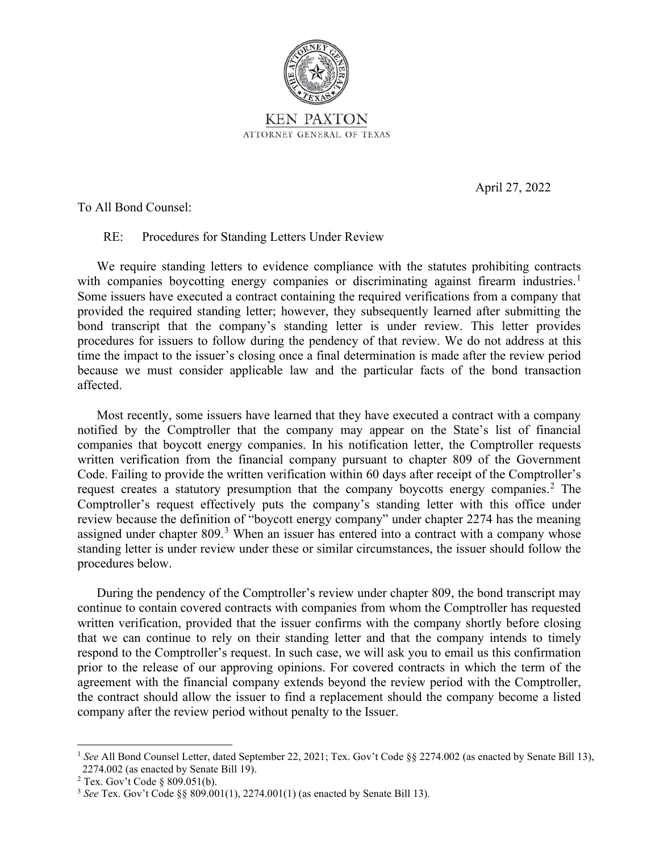

April 27, 2022

To All Bond Counsel:

RE: Procedures for Standing Letters Under Review

We require standing letters to evidence compliance with the statutes prohibiting contracts with companies boycotting energy companies or discriminating against firearm industries.<sup>1</sup> Some issuers have executed a contract containing the required verifications from a company that provided the required standing letter; however, they subsequently learned after submitting the bond transcript that the company's standing letter is under review. This letter provides procedures for issuers to follow during the pendency of that review. We do not address at this time the impact to the issuer's closing once a final determination is made after the review period because we must consider applicable law and the particular facts of the bond transaction affected.

Most recently, some issuers have learned that they have executed a contract with a company notified by the Comptroller that the company may appear on the State's list of financial companies that boycott energy companies. In his notification letter, the Comptroller requests written verification from the financial company pursuant to chapter 809 of the Government Code. Failing to provide the written verification within 60 days after receipt of the Comptroller's request creates a statutory presumption that the company boycotts energy companies.<sup>2</sup> The Comptroller's request effectively puts the company's standing letter with this office under review because the definition of "boycott energy company" under chapter 2274 has the meaning assigned under chapter 809.<sup>3</sup> When an issuer has entered into a contract with a company whose standing letter is under review under these or similar circumstances, the issuer should follow the procedures below.

During the pendency of the Comptroller's review under chapter 809, the bond transcript may continue to contain covered contracts with companies from whom the Comptroller has requested written verification, provided that the issuer confirms with the company shortly before closing that we can continue to rely on their standing letter and that the company intends to timely respond to the Comptroller's request. In such case, we will ask you to email us this confirmation prior to the release of our approving opinions. For covered contracts in which the term of the agreement with the financial company extends beyond the review period with the Comptroller, the contract should allow the issuer to find a replacement should the company become a listed company after the review period without penalty to the Issuer.

<sup>&</sup>lt;sup>1</sup> See All Bond Counsel Letter, dated September 22, 2021; Tex. Gov't Code §§ 2274.002 (as enacted by Senate Bill 13), 2274.002 (as enacted by Senate Bill 19).

<sup>2</sup> Tex. Gov't Code § 809.051(b).

<sup>3</sup> *See* Tex. Gov't Code §§ 809.001(1), 2274.001(1) (as enacted by Senate Bill 13).